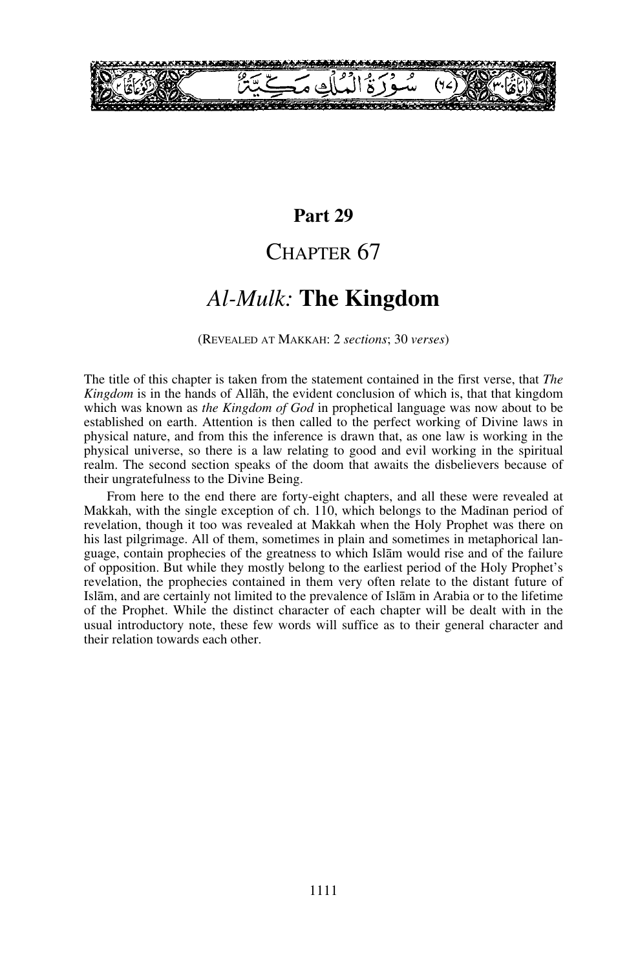

## **Part 29**

## CHAPTER 67

# *Al-Mulk:* **The Kingdom**

(REVEALED AT MAKKAH: 2 *sections*; 30 *verses*)

The title of this chapter is taken from the statement contained in the first verse, that *The Kingdom* is in the hands of Allåh, the evident conclusion of which is, that that kingdom which was known as *the Kingdom of God* in prophetical language was now about to be established on earth. Attention is then called to the perfect working of Divine laws in physical nature, and from this the inference is drawn that, as one law is working in the physical universe, so there is a law relating to good and evil working in the spiritual realm. The second section speaks of the doom that awaits the disbelievers because of their ungratefulness to the Divine Being.

From here to the end there are forty-eight chapters, and all these were revealed at Makkah, with the single exception of ch. 110, which belongs to the Madinan period of revelation, though it too was revealed at Makkah when the Holy Prophet was there on his last pilgrimage. All of them, sometimes in plain and sometimes in metaphorical language, contain prophecies of the greatness to which Islåm would rise and of the failure of opposition. But while they mostly belong to the earliest period of the Holy Prophet's revelation, the prophecies contained in them very often relate to the distant future of Islåm, and are certainly not limited to the prevalence of Islåm in Arabia or to the lifetime of the Prophet. While the distinct character of each chapter will be dealt with in the usual introductory note, these few words will suffice as to their general character and their relation towards each other.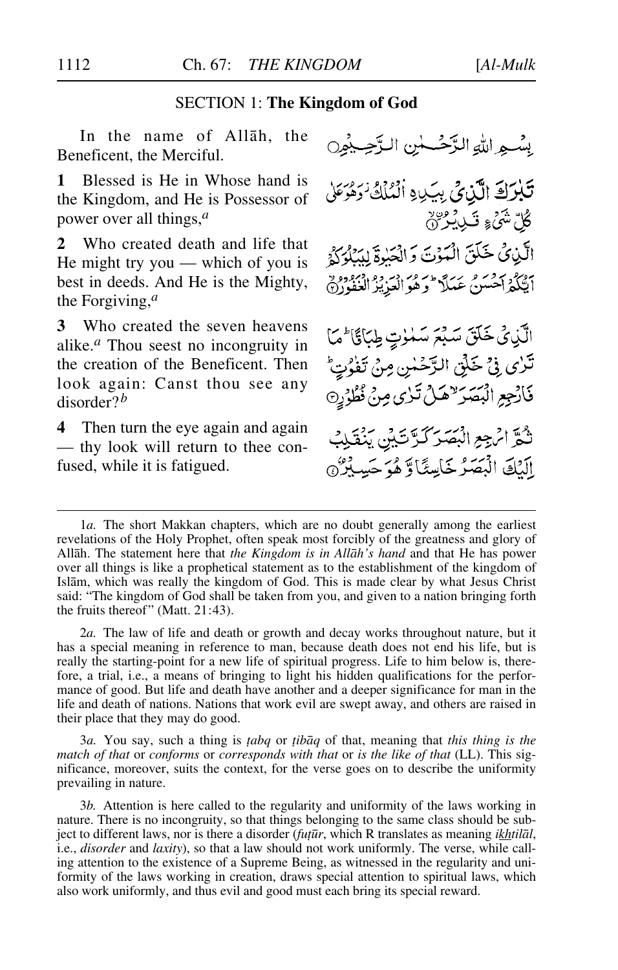### SECTION 1: **The Kingdom of God**

In the name of Allah, the Beneficent, the Merciful.

**1** Blessed is He in Whose hand is the Kingdom, and He is Possessor of power over all things,*<sup>a</sup>*

**2** Who created death and life that He might try you — which of you is best in deeds. And He is the Mighty, the Forgiving,*<sup>a</sup>*

**3** Who created the seven heavens alike.*<sup>a</sup>* Thou seest no incongruity in the creation of the Beneficent. Then look again: Canst thou see any disorder?*<sup>b</sup>*

**4** Then turn the eye again and again — thy look will return to thee confused, while it is fatigued.

بِسْعِ اللَّهِ الزَّحْسَسِٰ الزَّحِيْمِيِنِ تَبْرَكَ الَّذِيْ بِيَدِهِ الْمُلْكُ زَهْرَ مَنْ ڴڸؓ*ۺٙٛۦ۠*۪ۦؾؘۘڔۑ۬ڔ۞ الَّذِيْ خَلَقَ الْمَوْتَ وَالْحَيْرِةَ لِيَبْلُوَكُمْ مَدَّكَّتُمْ أَحْسَنُ عَبَدًا \* وَهُوَ أَلْعَذِيزَ الْغَفْوِرْ(ْ) الَّذِيْ خَلَقَ سَبْعَ سَلْوَتٍ طِبَاقَاً مَا تَرْى فِيٌ خَلْقِ الرَّحْسِٰ مِنْ تَفْرُتِّ فَارْجِعِ الْبَصَرَ "هَلْ تَرْى مِنْ نُظُرُرِهِ تثُّقَرَ انْهِجِعِ الْبَصَرِ كَدَّتَ بَيْنَ يَنْقَبِكَ إِلَيْكَ الْبَصَرُ خَاسِئًا وَّ هُوَ حَسِبُيْرٌ @

1*a.* The short Makkan chapters, which are no doubt generally among the earliest revelations of the Holy Prophet, often speak most forcibly of the greatness and glory of Allåh. The statement here that *the Kingdom is in Allåh's hand* and that He has power over all things is like a prophetical statement as to the establishment of the kingdom of Islåm, which was really the kingdom of God. This is made clear by what Jesus Christ said: "The kingdom of God shall be taken from you, and given to a nation bringing forth the fruits thereof" (Matt. 21:43).

2*a.* The law of life and death or growth and decay works throughout nature, but it has a special meaning in reference to man, because death does not end his life, but is really the starting-point for a new life of spiritual progress. Life to him below is, therefore, a trial, i.e., a means of bringing to light his hidden qualifications for the performance of good. But life and death have another and a deeper significance for man in the life and death of nations. Nations that work evil are swept away, and others are raised in their place that they may do good.

3*a.* You say, such a thing is *∆abq* or *∆ibåq* of that, meaning that *this thing is the match of that* or *conforms* or *corresponds with that* or *is the like of that* (LL). This significance, moreover, suits the context, for the verse goes on to describe the uniformity prevailing in nature.

3*b.* Attention is here called to the regularity and uniformity of the laws working in nature. There is no incongruity, so that things belonging to the same class should be subject to different laws, nor is there a disorder (*fu∆∂r*, which R translates as meaning *ikhtilål*, i.e., *disorder* and *laxity*), so that a law should not work uniformly. The verse, while calling attention to the existence of a Supreme Being, as witnessed in the regularity and uniformity of the laws working in creation, draws special attention to spiritual laws, which also work uniformly, and thus evil and good must each bring its special reward.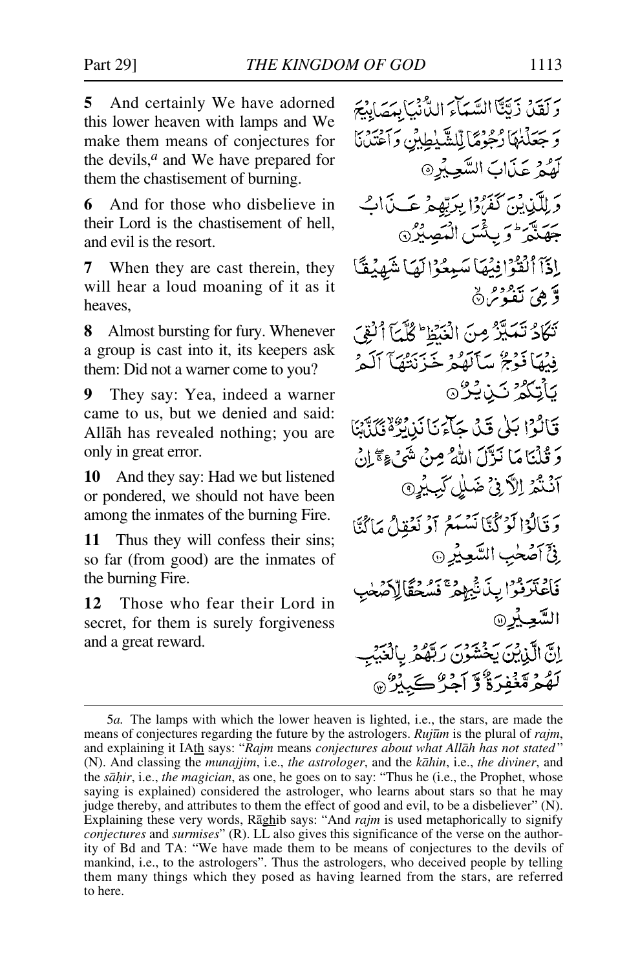**5** And certainly We have adorned this lower heaven with lamps and We make them means of conjectures for the devils,*<sup>a</sup>* and We have prepared for them the chastisement of burning.

**6** And for those who disbelieve in their Lord is the chastisement of hell, and evil is the resort.

**7** When they are cast therein, they will hear a loud moaning of it as it heaves,

**8** Almost bursting for fury. Whenever a group is cast into it, its keepers ask them: Did not a warner come to you?

**9** They say: Yea, indeed a warner came to us, but we denied and said: Allåh has revealed nothing; you are only in great error.

**10** And they say: Had we but listened or pondered, we should not have been among the inmates of the burning Fire.

**11** Thus they will confess their sins; so far (from good) are the inmates of the burning Fire.

**12** Those who fear their Lord in secret, for them is surely forgiveness and a great reward.

وَلَقَدْ زَيَّنَا السَّيَّاءَ الدُّّنْيَابِدَهَابِدَ وَجَعَلْنَهَا زُجُوْمًا لِّلشَّيْطِينِ وَآَغْتَدْنَا لَهُمْ عَذَابَ السَّعِيْرِ@ و الآن وسر سَمَرُوا بِرَبِّهِمْ عَسَدَابُ برسير وسيمس السيدر<br>جهنبر وبئس السيدري إِذَآ ٱلۡقُوۡۚ إِنۡكَهَا سَبِعُوۡ ٰ إِلَيۡمَا شَهۡدَقَـٗا وَّهِيَ تَعْوُمُ% تَكَادُ تَمَيَّزُ مِنَ الْبَيْطِ ۚ كُلَّيَٰٓ ٱلْقِيَ فِيْهَا فَوْجَ سَأَلَهُمْ خَزْنِتُهَآ ٱلْمَرْ <u> يأتكوُ كن يُرُ ⊚</u> فَأَلَوْا بَلَىٰ قَدْيَا حَآءَ يَأْنَدُهُ ثَمَاتَهَا وَقُلْنَامَا نَزَّلَ اللَّهُ مِنْ شَيْءٍ مَنْ اللَّهُ آنُنُمُ اِلاَّنْ ضَلِٰلٌ لَبِيُرِ ﴾ وَقَالُوْا لَوْكُنَّا نَسْمَعُ أَوْ نَعُقِلُ مَا َيُّنَّا فِيٍّ أَصَٰحٰبِ السَّعِيْرِ ۞ كادبيرود بخ فيهودي ودعالاكهط السُّعِيْرِ۞ انَّ الَّذِينَ بَحْثَثَوْنَ رَبَّقُوْنَ وَ لَهُمُ مَّنْفِرَةٌ وَّ آجِرٌ كَبِيْرٌ @

<sup>5</sup>*a.* The lamps with which the lower heaven is lighted, i.e., the stars, are made the means of conjectures regarding the future by the astrologers. *Ruj∂m* is the plural of *rajm*, and explaining it IAth says: "*Rajm* means *conjectures about what Allåh has not stated* " (N). And classing the *munajjim*, i.e., *the astrologer*, and the *kåhin*, i.e., *the diviner*, and the *så√ir*, i.e., *the magician*, as one, he goes on to say: "Thus he (i.e., the Prophet, whose saying is explained) considered the astrologer, who learns about stars so that he may judge thereby, and attributes to them the effect of good and evil, to be a disbeliever" (N). Explaining these very words, Råghib says: "And *rajm* is used metaphorically to signify *conjectures* and *surmises*" (R). LL also gives this significance of the verse on the authority of Bd and TA: "We have made them to be means of conjectures to the devils of mankind, i.e., to the astrologers". Thus the astrologers, who deceived people by telling them many things which they posed as having learned from the stars, are referred to here.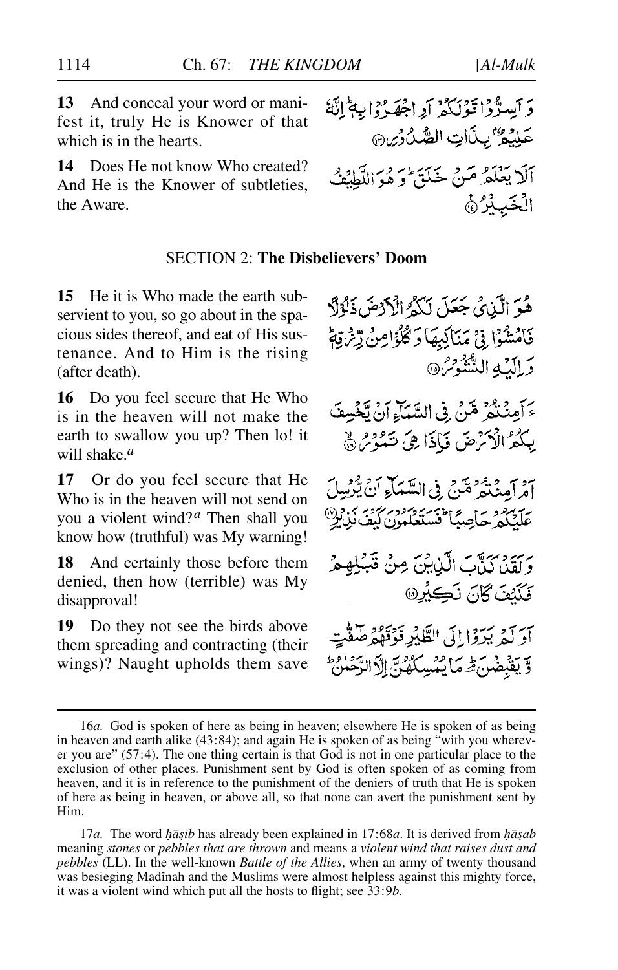**13** And conceal your word or manifest it, truly He is Knower of that which is in the hearts.

**14** Does He not know Who created? And He is the Knower of subtleties, the Aware.

### SECTION 2: **The Disbelievers' Doom**

**15** He it is Who made the earth subservient to you, so go about in the spacious sides thereof, and eat of His sustenance. And to Him is the rising (after death).

**16** Do you feel secure that He Who is in the heaven will not make the earth to swallow you up? Then lo! it will shake.*<sup>a</sup>*

**17** Or do you feel secure that He Who is in the heaven will not send on you a violent wind?*<sup>a</sup>* Then shall you know how (truthful) was My warning!

**18** And certainly those before them denied, then how (terrible) was My disapproval!

**19** Do they not see the birds above them spreading and contracting (their wings)? Naught upholds them save

هُوَ الَّذِي جَعَلَ لَكُمُ الْأَدْضَ ذَلُوْلًا فَأَمْشُوْا فِي مَنَاكِبِهَا وَكُلُوْامِنْ رِّمْ يَةً وَ الْكَيْهِ الشَّنُّوْسُ® يَرَ وَقَرْدَ مِمَّنَ فِي السَّمَاءِ أَنْ يَخْسِفَ يِكُمُ الْأَنْهِضَ فَإِذَا هِيَ تَنْدُرُ ﴾ أُمْرِ آمِنْتُمْرُ مِّنْ فِي السَّيَاْءِ أَنْ يُّرْسِلَ <del>ع</del>َلَيْكُمْرْحَاصِبًا تَسَتَعْكُمُونَ كَيْفَ نَزِيدٍ رَبِيَّةٍ رَبِّيْتِ الَّذِيْنَ مِنْ قَبْلِهِمْ فَكَنْتَ كَانَ نَكِيْرِ® أدَ لَهُ بَيْرَةِ! إِلَى الطَّبِّرِ فَوَقَوْهُ صَفَّتِ وَّ يَقْبَضُنَ فِرِ مَا يُمُسِكُهُنَّ إِلَّا الرَّحْمٰنُ

17*a*. The word *hāṣib* has already been explained in 17:68*a*. It is derived from *hāṣab* meaning *stones* or *pebbles that are thrown* and means a *violent wind that raises dust and pebbles* (LL). In the well-known *Battle of the Allies*, when an army of twenty thousand was besieging Madinah and the Muslims were almost helpless against this mighty force, it was a violent wind which put all the hosts to flight; see 33:9*b*.

وَأَيْسِرّْدُا قَوْلَكُمْ أَوِاجْهَدْ وَابِهِمْ لِنَّهُ عَلِيْمٌ بِبِذَاتِ الصَّدُوْيِنِ أَلَا يَعْلَمُ مَنْ خَلَقَ وَهُوَ اللَّطْنَفُ الْخَيْدُرْ﴾

<sup>16</sup>*a.* God is spoken of here as being in heaven; elsewhere He is spoken of as being in heaven and earth alike (43:84); and again He is spoken of as being "with you wherever you are" (57:4). The one thing certain is that God is not in one particular place to the exclusion of other places. Punishment sent by God is often spoken of as coming from heaven, and it is in reference to the punishment of the deniers of truth that He is spoken of here as being in heaven, or above all, so that none can avert the punishment sent by Him.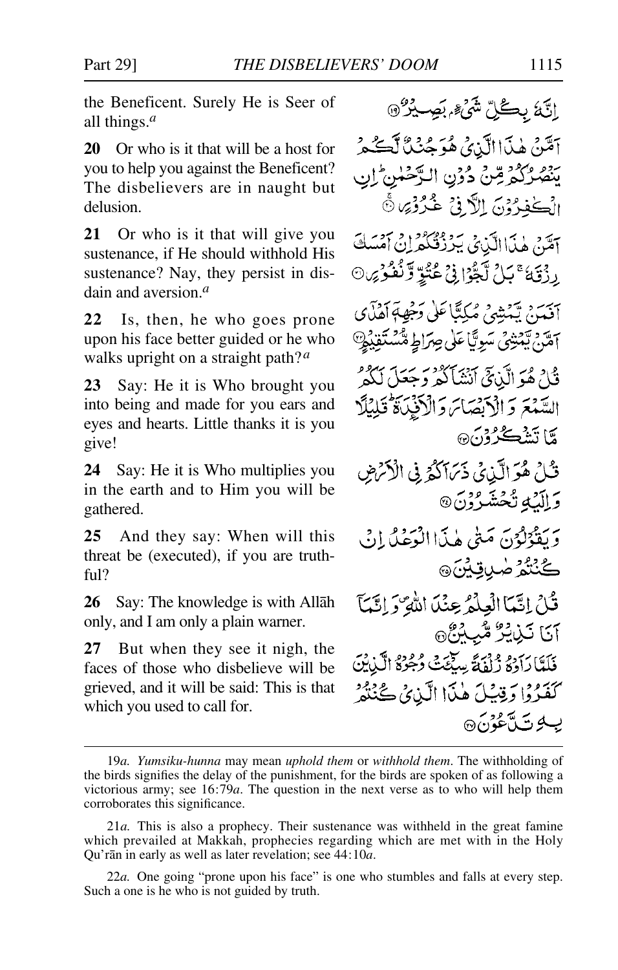the Beneficent. Surely He is Seer of all things.*<sup>a</sup>*

**20** Or who is it that will be a host for you to help you against the Beneficent? The disbelievers are in naught but delusion.

**21** Or who is it that will give you sustenance, if He should withhold His sustenance? Nay, they persist in disdain and aversion.*<sup>a</sup>*

**22** Is, then, he who goes prone upon his face better guided or he who walks upright on a straight path?*<sup>a</sup>*

**23** Say: He it is Who brought you into being and made for you ears and eyes and hearts. Little thanks it is you give!

**24** Say: He it is Who multiplies you in the earth and to Him you will be gathered.

**25** And they say: When will this threat be (executed), if you are truthful?

**26** Say: The knowledge is with Allåh only, and I am only a plain warner.

**27** But when they see it nigh, the faces of those who disbelieve will be grieved, and it will be said: This is that which you used to call for.

إِنَّهُ بِكُلِّ شَيْءٍ بِصِيْرٌ @ آمَّنْ هٰذَاالَّذِيُّ هُوَ جُنُّنَّا لَكُحُر يَنْصُرُكُمْ مِّنْ دُوْنِ الرَّحْمٰنِ ۚ إِنِ الْكَفِرُونَ الرَّوْزِ عُرُوْرَا ثَّ آمَنْ هٰذَا الَّذِي يَدَدُّقْنَكُمْ لِنْ آمْسَكَ رِ دْيَنَ ۚ يَا ُ لَّجُوْا نِيْ عُثْوٌ وَّنُفُوْيِنِ۞ بِيَهَةٍ، تَدَبِثِهِيْ مُكِتَّأَعَلَىٰ دَخِهِةِ أَهْذَى أَمَّنْ يَّمْتِنْيُ سَوِيًّا عَلَى صِرَاطٍ مُّسْتَقِيْهِ قُلْ هُوَ الَّذِيْنَى أَنْشَأَكْمِرْ وَجِعَلَ لَكُمْ السَّمْعَ وَالْأَبْصَاسَ وَالْأَفْيَاةَ قُلِيْلًا مَّا تَشْڪُرُوْنَ® قُبْلُ هُوَ الَّذِي ذَيَّاكُمُ فِي الْأَرْضِ وَ الْكَ تَحْشَرُوْنَ @ وَيَقْوَلُوْنَ مَنَّى هٰذَا الْوَعْلُ إِنْ ڴڹٛؿ۠ۯۻۑ*ۊ*ؽڽؘ۞ قُلْ إِنَّمَا الْعِلْمُ عِنْدَ اللَّهِ ۚ إِنَّكَمَا آنا نَبْرِيْرٌ مُّبِ4ُ هُ فَلَدَّا دَادَةُ زُلْفَةً سِكْنَتَ دُجُوْةُ الَّذِيْنَ كَفَدُوْا رَقِيبُكَ هٰذَا الَّذِي ݣَنْتُهُمْ ب 4 ت آغۇن ھ

<sup>19</sup>*a. Yumsiku-hunna* may mean *uphold them* or *withhold them*. The withholding of the birds signifies the delay of the punishment, for the birds are spoken of as following a victorious army; see 16:79*a*. The question in the next verse as to who will help them corroborates this significance.

<sup>21</sup>*a.* This is also a prophecy. Their sustenance was withheld in the great famine which prevailed at Makkah, prophecies regarding which are met with in the Holy Qu'rån in early as well as later revelation; see 44:10*a*.

<sup>22</sup>*a.* One going "prone upon his face" is one who stumbles and falls at every step. Such a one is he who is not guided by truth.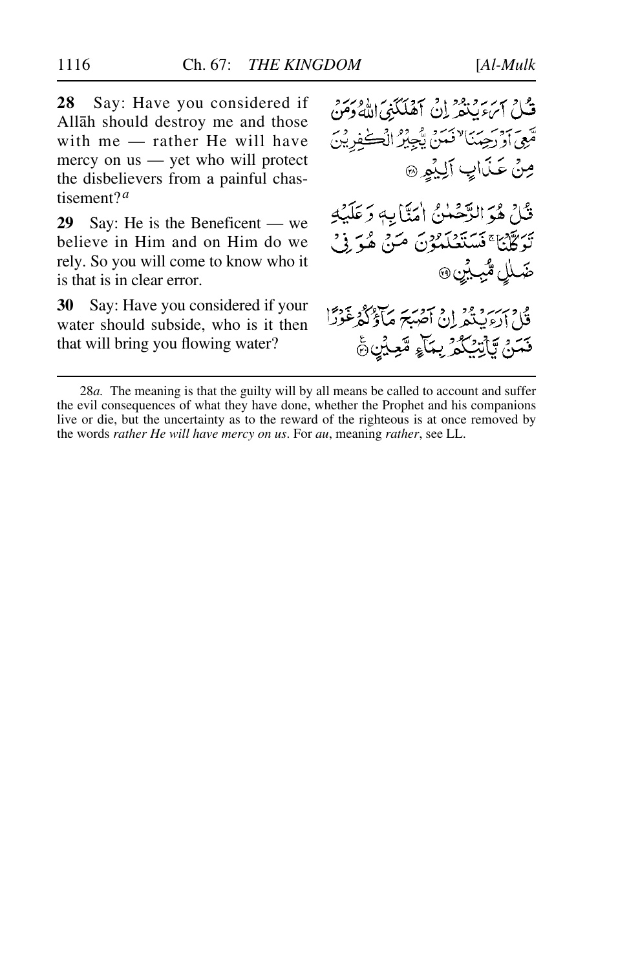**28** Say: Have you considered if Allåh should destroy me and those with me — rather He will have mercy on us — yet who will protect the disbelievers from a painful chastisement?*<sup>a</sup>*

**29** Say: He is the Beneficent — we believe in Him and on Him do we rely. So you will come to know who it is that is in clear error.

**30** Say: Have you considered if your water should subside, who is it then that will bring you flowing water?

ور سربر و ود دي.<br>قبل ايرء بينفريان آهلگني الله دمن قَبِّعِي أَوْ رَحِيَنَا لَا فَيَنَ يَّكِجِيْرُ الْڪَفِرِيْنَ صِنْ عَذَابٍ أَلِيْمِهِ قُلْ هُوَ الرَّحْمٰنُ اٰمَنَّابِهٖ وَعَلَيْهِ يْرِيَّةَ لِيَا مَسْتَعْلَمُوْنَ مَنْ هُوَ فِي ضَلٰلٍ مُّ*بِ*يْنِ ۞ بيزو وديا د سوسر مادادگر غوراً فَتَنۡ يَّأۡنِيۡكُمۡ بِمَآءٍ مَّعۡلَىٰٓ ۚ

<sup>28</sup>*a.* The meaning is that the guilty will by all means be called to account and suffer the evil consequences of what they have done, whether the Prophet and his companions live or die, but the uncertainty as to the reward of the righteous is at once removed by the words *rather He will have mercy on us*. For *au*, meaning *rather*, see LL.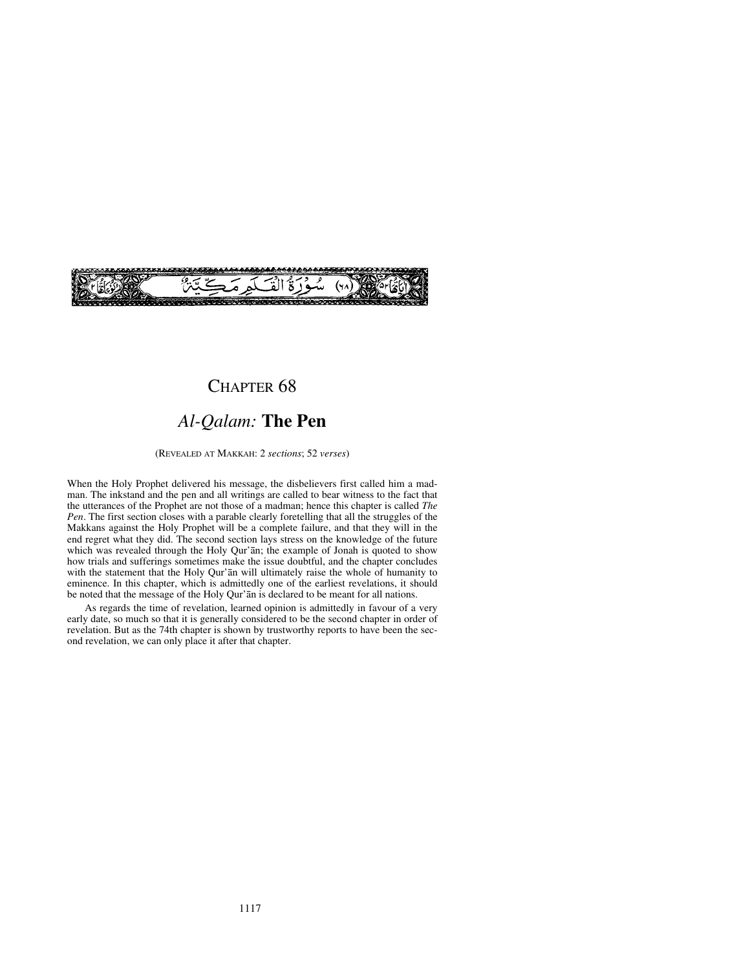

## CHAPTER<sub>68</sub>

# *Al-Qalam:* **The Pen**

(REVEALED AT MAKKAH: 2 *sections*; 52 *verses*)

When the Holy Prophet delivered his message, the disbelievers first called him a madman. The inkstand and the pen and all writings are called to bear witness to the fact that the utterances of the Prophet are not those of a madman; hence this chapter is called *The Pen*. The first section closes with a parable clearly foretelling that all the struggles of the Makkans against the Holy Prophet will be a complete failure, and that they will in the end regret what they did. The second section lays stress on the knowledge of the future which was revealed through the Holy Qur'ån; the example of Jonah is quoted to show how trials and sufferings sometimes make the issue doubtful, and the chapter concludes with the statement that the Holy Qur'ån will ultimately raise the whole of humanity to eminence. In this chapter, which is admittedly one of the earliest revelations, it should be noted that the message of the Holy Qur'ån is declared to be meant for all nations.

As regards the time of revelation, learned opinion is admittedly in favour of a very early date, so much so that it is generally considered to be the second chapter in order of revelation. But as the 74th chapter is shown by trustworthy reports to have been the second revelation, we can only place it after that chapter.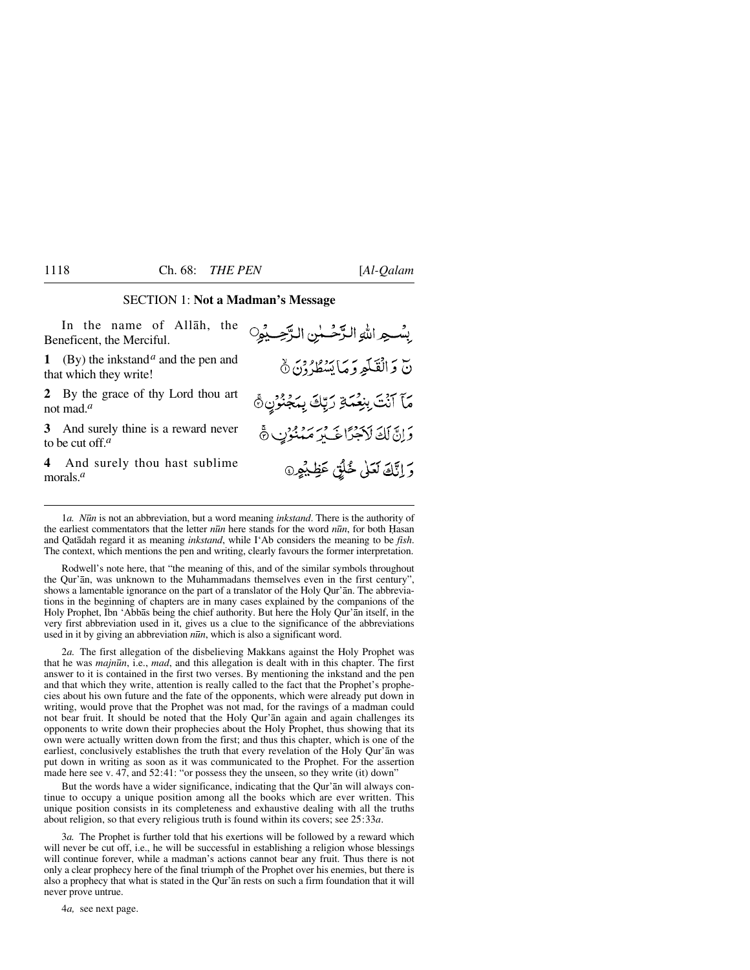### SECTION 1: **Not a Madman's Message**

| In the name of Allah, the<br>Beneficent, the Merciful.                     | بِسْهِ اللهِ الدَّحْسُنِ الرَّحِيْهِِ         |
|----------------------------------------------------------------------------|-----------------------------------------------|
| 1 (By) the inkstand <sup>a</sup> and the pen and<br>that which they write! | نّ وَالْقَلَمِ وَمَا يَسْطُرُونَ ۞            |
| 2 By the grace of thy Lord thou art<br>not mad. <sup><math>a</math></sup>  | مَّآ ٱنَّتَ بِنِعْمَةِ رَبِّكَ بِمَجْنُوْنِ ﴾ |
| 3 And surely thine is a reward never<br>to be cut off. $a$                 | وَإِنَّ لَكَ لَأَجْرًا خَيْرٍ مَنْنُوْنِ ﴾    |
| And surely thou hast sublime<br>morals. $a$                                | وَ إِنَّكَ لَعَلَى خُلُقٍ عَظِيْهِرِ ﴾        |

1*a. N∂n* is not an abbreviation, but a word meaning *inkstand*. There is the authority of the earliest commentators that the letter *n* $\bar{u}$ *n* here stands for the word *n* $\bar{u}$ *n*, for both Hasan and Qatådah regard it as meaning *inkstand*, while I'Ab considers the meaning to be *fish*. The context, which mentions the pen and writing, clearly favours the former interpretation.

Rodwell's note here, that "the meaning of this, and of the similar symbols throughout the Qur'ån, was unknown to the Muhammadans themselves even in the first century", shows a lamentable ignorance on the part of a translator of the Holy Qur'ån. The abbreviations in the beginning of chapters are in many cases explained by the companions of the Holy Prophet, Ibn 'Abbås being the chief authority. But here the Holy Qur'ån itself, in the very first abbreviation used in it, gives us a clue to the significance of the abbreviations used in it by giving an abbreviation *n∂n*, which is also a significant word.

2*a.* The first allegation of the disbelieving Makkans against the Holy Prophet was that he was *majn∂n*, i.e., *mad*, and this allegation is dealt with in this chapter. The first answer to it is contained in the first two verses. By mentioning the inkstand and the pen and that which they write, attention is really called to the fact that the Prophet's prophecies about his own future and the fate of the opponents, which were already put down in writing, would prove that the Prophet was not mad, for the ravings of a madman could not bear fruit. It should be noted that the Holy Qur'ån again and again challenges its opponents to write down their prophecies about the Holy Prophet, thus showing that its own were actually written down from the first; and thus this chapter, which is one of the earliest, conclusively establishes the truth that every revelation of the Holy Qur'ån was put down in writing as soon as it was communicated to the Prophet. For the assertion made here see v. 47, and 52:41: "or possess they the unseen, so they write (it) down"

But the words have a wider significance, indicating that the Qur'ån will always continue to occupy a unique position among all the books which are ever written. This unique position consists in its completeness and exhaustive dealing with all the truths about religion, so that every religious truth is found within its covers; see 25:33*a*.

3*a.* The Prophet is further told that his exertions will be followed by a reward which will never be cut off, i.e., he will be successful in establishing a religion whose blessings will continue forever, while a madman's actions cannot bear any fruit. Thus there is not only a clear prophecy here of the final triumph of the Prophet over his enemies, but there is also a prophecy that what is stated in the Qur'ån rests on such a firm foundation that it will never prove untrue.

4*a,* see next page.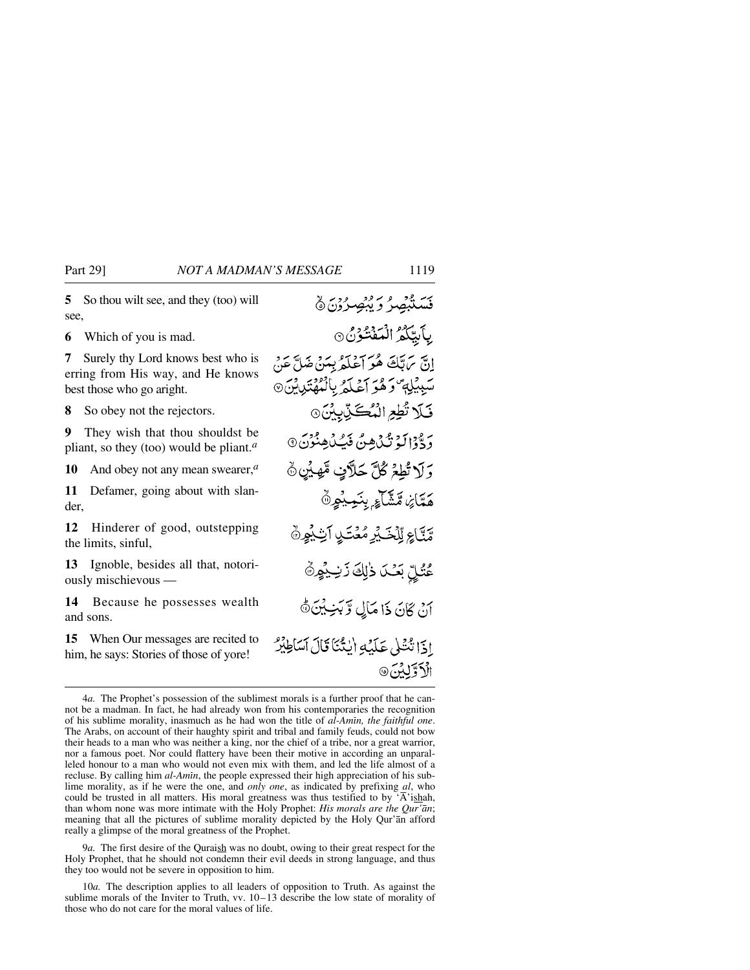**5** So thou wilt see, and they (too) will see,

**6** Which of you is mad.

**7** Surely thy Lord knows best who is erring from His way, and He knows best those who go aright.

**8** So obey not the rejectors.

**9** They wish that thou shouldst be pliant, so they (too) would be pliant.*<sup>a</sup>*

**10** And obey not any mean swearer,*<sup>a</sup>*

**11** Defamer, going about with slander,

**12** Hinderer of good, outstepping the limits, sinful,

**13** Ignoble, besides all that, notoriously mischievous —

**14** Because he possesses wealth and sons.

**15** When Our messages are recited to him, he says: Stories of those of yore!

قَسَنْبُهُمْ وَيُبْصِرُوْنَ۞ بآبيكمُ الْمَفْتُوْنُ ۞ إِنَّ مَ بَّكَ هُوَ أَعْلَمُ بِمَنْ ضَلَّ عَنْ سَبِيْلِهِ وَهُوَ أَعْلَمُ بِالْمُهْتَدِيِّنِ ۞ فَلَا تُطِعِ الْمُكَيَّابِينَ @ رَ وَّذَا لَهُ تَكَ<sub>ا</sub>هِنَّ فَيُكَاهِنُوْنَ ۞ وَلَا تُطِعُ كُلَّ حَلَّافٍ مَّهِيْنِ ۞ هَمَّاَيْنِ مَّشَّآءٍ بِنَمِيْهِنَّ مَّتَّاعِ لِّلْحَيْرِ مُعْتَبِدِ آَيْنِيُوِنَّ عُنْلِّ بَعْدَ ذٰلِكَ زَنِيْهِنَّ أَنْ كَانَ ذَا مَأْلِ وَّبَنِيْنَ ﴾ اذَا تُنْتَلَى عَلَيْهِ أَنتُنَا قَالَ أَسَاطِيْرٌ الْأَوَّلِيْنَ@

9*a.* The first desire of the Quraish was no doubt, owing to their great respect for the Holy Prophet, that he should not condemn their evil deeds in strong language, and thus they too would not be severe in opposition to him.

10*a.* The description applies to all leaders of opposition to Truth. As against the sublime morals of the Inviter to Truth, vv. 10–13 describe the low state of morality of those who do not care for the moral values of life.

<sup>4</sup>*a.* The Prophet's possession of the sublimest morals is a further proof that he cannot be a madman. In fact, he had already won from his contemporaries the recognition of his sublime morality, inasmuch as he had won the title of *al-Amßn, the faithful one*. The Arabs, on account of their haughty spirit and tribal and family feuds, could not bow their heads to a man who was neither a king, nor the chief of a tribe, nor a great warrior, nor a famous poet. Nor could flattery have been their motive in according an unparalleled honour to a man who would not even mix with them, and led the life almost of a recluse. By calling him *al-Amin*, the people expressed their high appreciation of his sublime morality, as if he were the one, and *only one*, as indicated by prefixing *al*, who could be trusted in all matters. His moral greatness was thus testified to by  $\overline{A}$ 'ishah, than whom none was more intimate with the Holy Prophet: *His morals are the Qur'ån*; meaning that all the pictures of sublime morality depicted by the Holy Qur'ån afford really a glimpse of the moral greatness of the Prophet.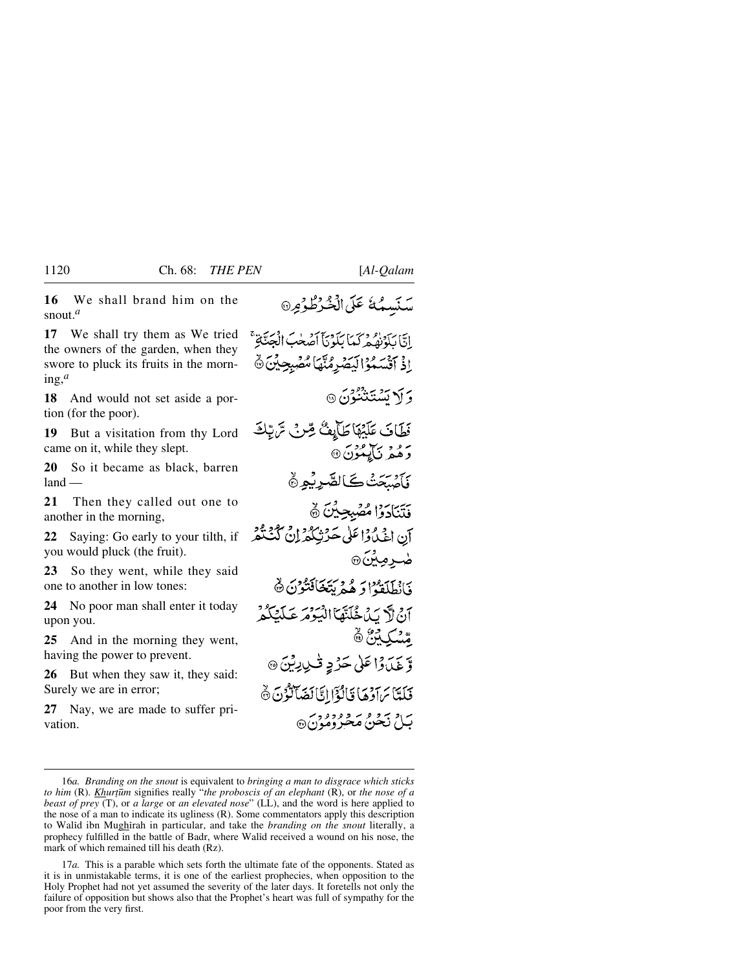**16** We shall brand him on the snout.*<sup>a</sup>*

**17** We shall try them as We tried the owners of the garden, when they swore to pluck its fruits in the morning,*<sup>a</sup>*

**18** And would not set aside a portion (for the poor).

**19** But a visitation from thy Lord came on it, while they slept.

**20** So it became as black, barren  $land$ 

**21** Then they called out one to another in the morning,

**22** Saying: Go early to your tilth, if you would pluck (the fruit).

**23** So they went, while they said one to another in low tones:

**24** No poor man shall enter it today upon you.

**25** And in the morning they went, having the power to prevent.

**26** But when they saw it, they said: Surely we are in error;

**27** Nay, we are made to suffer privation.

سَنَسِمُهُ عَلَى الْخُرْطُوْمِرِ @

إِنَّا بَلَوْنِهُ مِرْكَهَا بَلَوْنَاْ أَصُحْبَ انْجَنَّاتِهِ ۚ اذْ آَقْسَعُوْالْبَصْرِمُنَّهَا مُّصْبِحِيِّنَ ۞ وَ أَلا تَشْتَنْتُوْنَ ۞ نَطَافَ عَلَيْهَا طَأَبِعُ صِّرٍ فِي سَّ تِكْ ر همر نی مورث<sup>6</sup> فَأَصْبَحْتُ كَالصَّرِيْمِ ﴾ فَتَنَادَوْا مُصْبِحِينَ ۞ آن اغْدُوْا عَلَى حَرْثِكُمْ إِنْ كُنْتُمْ ضرمِينَ@ وَابْطَلَقَهُ إِدْ هُمْ يَتَخَافَتْوُنَ ۞ ان لاَّ بِّ جُدَّيْتَهَا الْبَيْرَةِ عَبِّدَ كَيْمَ كُمْ قسكة فأ وَّ غَيَّاوَا عَلَىٰ حَرْدِ ڤُيْدِيِّنَ @ فَلَعَّاسَ آدْهَا قَالَٰؤًا إِيَّالَٰغَيَالُّهُ نَ ۞ بيام بيو و بر وودود.<br>بيام نجيني مخرومون ه

17*a.* This is a parable which sets forth the ultimate fate of the opponents. Stated as it is in unmistakable terms, it is one of the earliest prophecies, when opposition to the Holy Prophet had not yet assumed the severity of the later days. It foretells not only the failure of opposition but shows also that the Prophet's heart was full of sympathy for the poor from the very first.

<sup>16</sup>*a. Branding on the snout* is equivalent to *bringing a man to disgrace which sticks to him* (R). *Khurțūm* signifies really "*the proboscis of an elephant* (R), or *the nose of a beast of prey* (T), or *a large* or *an elevated nose*" (LL), and the word is here applied to the nose of a man to indicate its ugliness (R). Some commentators apply this description to Walid ibn Mughirah in particular, and take the *branding on the snout* literally, a prophecy fulfilled in the battle of Badr, where Walßd received a wound on his nose, the mark of which remained till his death (Rz).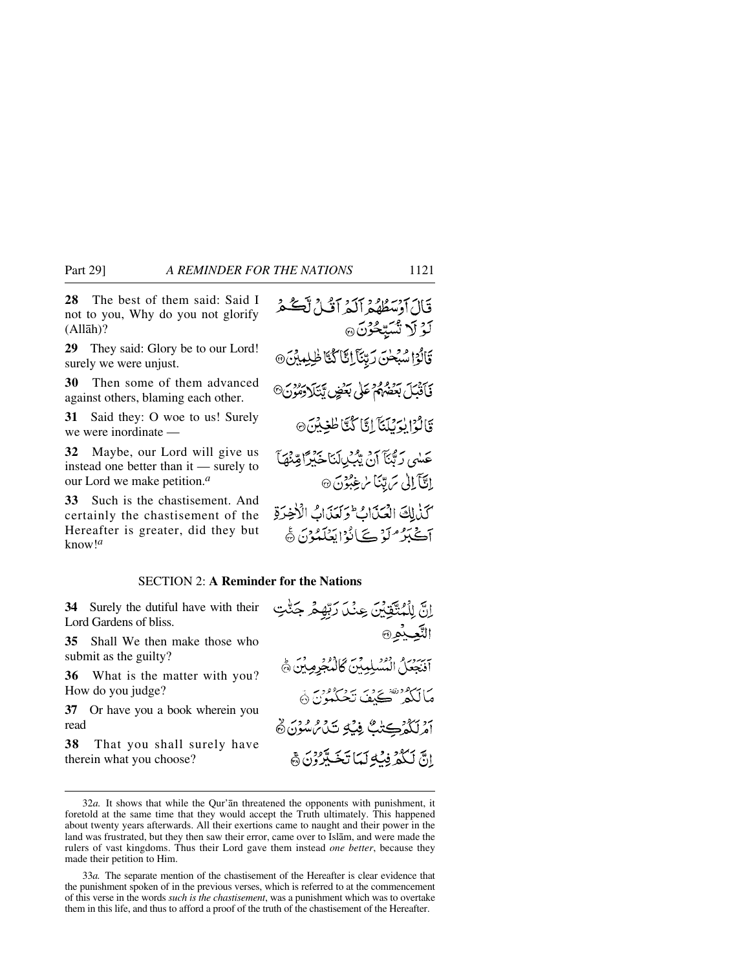**28** The best of them said: Said I not to you, Why do you not glorify (Allåh)?

**29** They said: Glory be to our Lord! surely we were unjust.

**30** Then some of them advanced against others, blaming each other.

**31** Said they: O woe to us! Surely we were inordinate —

**32** Maybe, our Lord will give us instead one better than it — surely to our Lord we make petition.*<sup>a</sup>*

**33** Such is the chastisement. And certainly the chastisement of the Hereafter is greater, did they but know!*<sup>a</sup>*

### SECTION 2: **A Reminder for the Nations**

**34** Surely the dutiful have with their Lord Gardens of bliss.

**35** Shall We then make those who submit as the guilty?

**36** What is the matter with you? How do you judge?

**37** Or have you a book wherein you read

**38** That you shall surely have therein what you choose?

اِنَّ لِلْمُتَّقِيِّينَ عِنْدَ رَبِّهِمْ جَنَّتِ التَّعِيْثِهِ® آنَنِيْعَلَ الْمُسْلِمِينَ كَالْمُجْرِمِينَ ﴾ مَالْكُمْ تَحَكِّفَ تَحْكُمُونَ ۞ أَمْرِيَكُمْ كِتِيْكَ فِيْكِ تَبَائِرُ سُؤْنَ ﴾ إِنَّ لَكُمْ فِيَٰهِ لَمَا تَخَيَّرُونَ ﴾

<sup>32</sup>*a.* It shows that while the Qur'ån threatened the opponents with punishment, it foretold at the same time that they would accept the Truth ultimately. This happened about twenty years afterwards. All their exertions came to naught and their power in the land was frustrated, but they then saw their error, came over to Islåm, and were made the rulers of vast kingdoms. Thus their Lord gave them instead *one better*, because they made their petition to Him.

<sup>33</sup>*a.* The separate mention of the chastisement of the Hereafter is clear evidence that the punishment spoken of in the previous verses, which is referred to at the commencement of this verse in the words *such is the chastisement*, was a punishment which was to overtake them in this life, and thus to afford a proof of the truth of the chastisement of the Hereafter.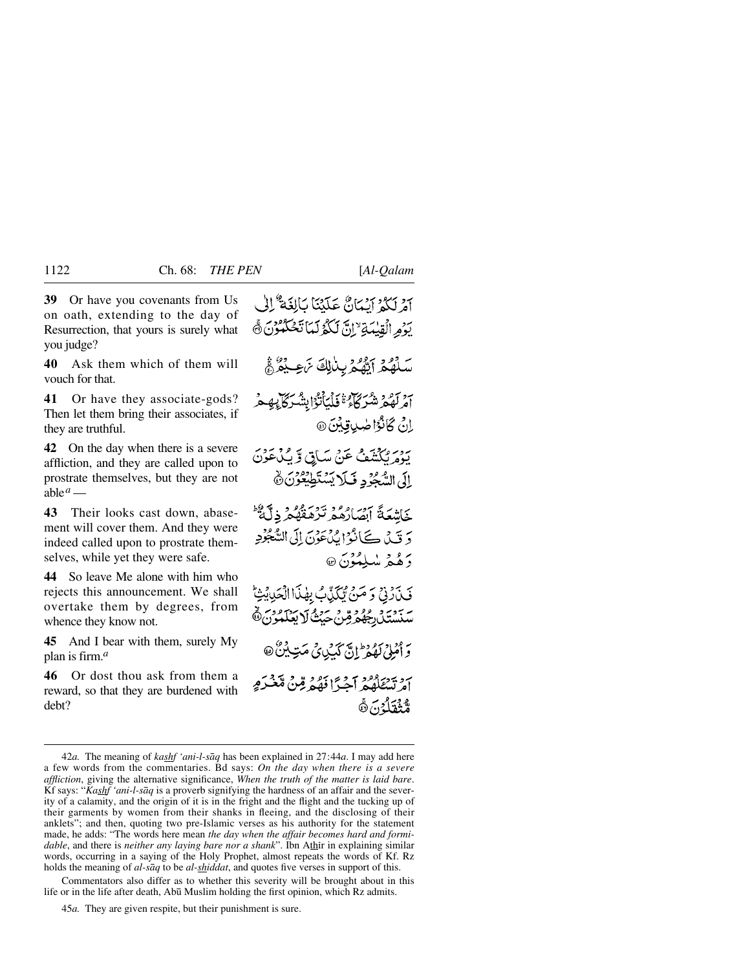**39** Or have you covenants from Us on oath, extending to the day of Resurrection, that yours is surely what you judge?

**40** Ask them which of them will vouch for that.

**41** Or have they associate-gods? Then let them bring their associates, if they are truthful.

**42** On the day when there is a severe affliction, and they are called upon to prostrate themselves, but they are not able $^a$  —

**43** Their looks cast down, abasement will cover them. And they were indeed called upon to prostrate themselves, while yet they were safe.

**44** So leave Me alone with him who rejects this announcement. We shall overtake them by degrees, from whence they know not.

**45** And I bear with them, surely My plan is firm.*<sup>a</sup>*

**46** Or dost thou ask from them a reward, so that they are burdened with debt?

آمْ لَكُمْ آيْمَانٌ عَلَيْنَا بِأَلِغَةٌ ۚ إِلَىٰ يَوْمِ الْقِيْمَةِ ۚ إِنَّ لَكُوْلَمَا تَحُكُمُوْنَ ﴾ سَلَّهُمُ آَيَّهُمْ بِنَالِكَ نَرْجِيَهُمْ آمْرِ لَهُمْ شَرْكَاهُ ۚ فَلْمَأْنُوْا بِشْرِكَآ بِهِمْ اِنْ كَانْوُا صُدِيقِيْنَ @ يَوْمَ تَكَشَفْ عَنْ سَاقٍ وَّ بِكَ هَوْنَ إِلَى السَّجُوْدِ فَبِلَا يَسْتَطِيعُوْنَ ٢ خَاشْعَةً آصَادُهُمْ تَرْمَعْهُمْ ذِلَّةٌ دَ قَيْلَ كَانُوْا بِيُنْعَوْنَ إِلَى السَّجْوُدِ وَهُمْ سْلِمُؤْنَ @ فَيْذَرْنِي وَصَنِّ تَبْكَيْبٌ بِهٰذَا الْحَدِيثِيُّ سَنَسْتَلِ رُجُهُمْ قِنْ حَيْثُ لَا يَعْلَمُونَ ﴾ وَ أَمْلِي لَهُمْ إِنَّ كَهَبُدِيٍّ مَتِ بِنَ ۚ @ بردية ورور -<br>امرتسككه كه اجبراً فَهُمْ قِنْ مَّعْبَدَهِ وَيَّقَلُّكُنَّ ثَ

Commentators also differ as to whether this severity will be brought about in this life or in the life after death, Abū Muslim holding the first opinion, which Rz admits.

<sup>42</sup>*a.* The meaning of *kashf 'ani-l-såq* has been explained in 27:44*a*. I may add here a few words from the commentaries. Bd says: *On the day when there is a severe affliction*, giving the alternative significance, *When the truth of the matter is laid bare*. Kf says: "*Kashf 'ani-l-såq* is a proverb signifying the hardness of an affair and the severity of a calamity, and the origin of it is in the fright and the flight and the tucking up of their garments by women from their shanks in fleeing, and the disclosing of their anklets"; and then, quoting two pre-Islamic verses as his authority for the statement made, he adds: "The words here mean *the day when the affair becomes hard and formidable*, and there is *neither any laying bare nor a shank*". Ibn Athir in explaining similar words, occurring in a saying of the Holy Prophet, almost repeats the words of Kf. Rz holds the meaning of *al-såq* to be *al-shiddat*, and quotes five verses in support of this.

<sup>45</sup>*a.* They are given respite, but their punishment is sure.